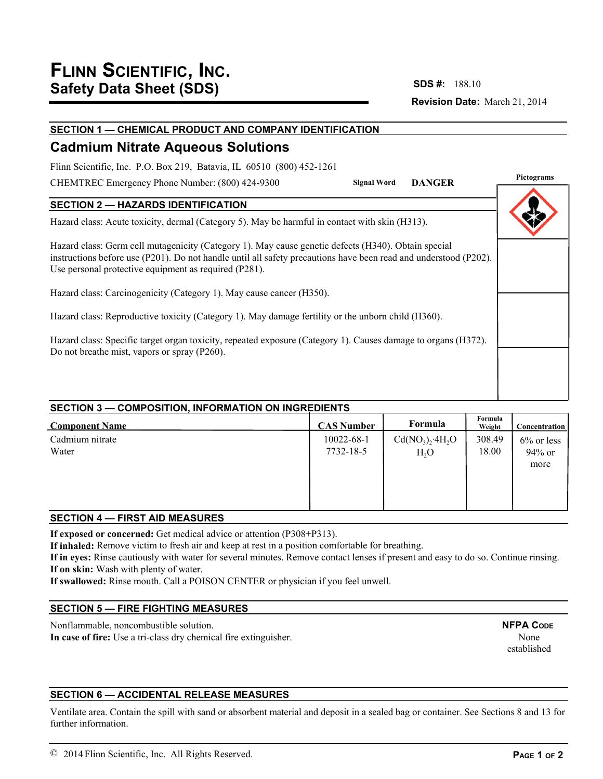# **Revision Date:** March 21, 2014 **SDS #:**

# **SECTION 1 — CHEMICAL PRODUCT AND COMPANY IDENTIFICATION**

# **Cadmium Nitrate Aqueous Solutions**

Flinn Scientific, Inc. P.O. Box 219, Batavia, IL 60510 (800) 452-1261

CHEMTREC Emergency Phone Number: (800) 424-9300

**Pictograms Signal Word DANGER**

## **SECTION 2 — HAZARDS IDENTIFICATION**

Hazard class: Acute toxicity, dermal (Category 5). May be harmful in contact with skin (H313).

Hazard class: Germ cell mutagenicity (Category 1). May cause genetic defects (H340). Obtain special instructions before use (P201). Do not handle until all safety precautions have been read and understood (P202). Use personal protective equipment as required (P281).

Hazard class: Carcinogenicity (Category 1). May cause cancer (H350).

Hazard class: Reproductive toxicity (Category 1). May damage fertility or the unborn child (H360).

Hazard class: Specific target organ toxicity, repeated exposure (Category 1). Causes damage to organs (H372). Do not breathe mist, vapors or spray (P260).

# **SECTION 3 — COMPOSITION, INFORMATION ON INGREDIENTS**

| <b>Component Name</b> | <b>CAS Number</b> | Formula         | Formula<br>Weight | <b>Concentration</b> |
|-----------------------|-------------------|-----------------|-------------------|----------------------|
| Cadmium nitrate       | $10022 - 68 - 1$  | $Cd(NO3)2·4H2O$ | 308.49            | $6\%$ or less        |
| Water                 | 7732-18-5         | $H_2O$          | 18.00             | 94% or               |
|                       |                   |                 |                   | more                 |
|                       |                   |                 |                   |                      |
|                       |                   |                 |                   |                      |
|                       |                   |                 |                   |                      |

### **SECTION 4 — FIRST AID MEASURES**

**If exposed or concerned:** Get medical advice or attention (P308+P313).

**If inhaled:** Remove victim to fresh air and keep at rest in a position comfortable for breathing.

**If in eyes:** Rinse cautiously with water for several minutes. Remove contact lenses if present and easy to do so. Continue rinsing. **If on skin:** Wash with plenty of water.

**If swallowed:** Rinse mouth. Call a POISON CENTER or physician if you feel unwell.

## **SECTION 5 — FIRE FIGHTING MEASURES**

Nonflammable, noncombustible solution. **In case of fire:** Use a tri-class dry chemical fire extinguisher. **NFPA CODE** None established

## **SECTION 6 — ACCIDENTAL RELEASE MEASURES**

Ventilate area. Contain the spill with sand or absorbent material and deposit in a sealed bag or container. See Sections 8 and 13 for further information.